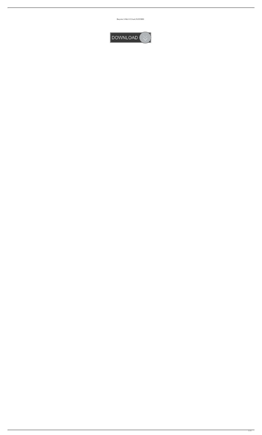Busywin 14 Rel 4.9 Crack PATCHED

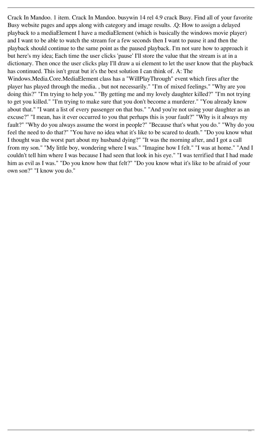Crack In Mandoo. 1 item. Crack In Mandoo. busywin 14 rel 4.9 crack Busy. Find all of your favorite Busy website pages and apps along with category and image results. .Q: How to assign a delayed playback to a mediaElement I have a mediaElement (which is basically the windows movie player) and I want to be able to watch the stream for a few seconds then I want to pause it and then the playback should continue to the same point as the paused playback. I'm not sure how to approach it but here's my idea; Each time the user clicks 'pause' I'll store the value that the stream is at in a dictionary. Then once the user clicks play I'll draw a ui element to let the user know that the playback has continued. This isn't great but it's the best solution I can think of. A: The Windows.Media.Core.MediaElement class has a "WillPlayThrough" event which fires after the player has played through the media. , but not necessarily." "I'm of mixed feelings." "Why are you doing this?" "I'm trying to help you." "By getting me and my lovely daughter killed?" "I'm not trying to get you killed." "I'm trying to make sure that you don't become a murderer." "You already know about that." "I want a list of every passenger on that bus." "And you're not using your daughter as an excuse?" "I mean, has it ever occurred to you that perhaps this is your fault?" "Why is it always my fault?" "Why do you always assume the worst in people?" "Because that's what you do." "Why do you feel the need to do that?" "You have no idea what it's like to be scared to death." "Do you know what I thought was the worst part about my husband dying?" "It was the morning after, and I got a call from my son." "My little boy, wondering where I was." "Imagine how I felt." "I was at home." "And I couldn't tell him where I was because I had seen that look in his eye." "I was terrified that I had made

him as evil as I was." "Do you know how that felt?" "Do you know what it's like to be afraid of your own son?" "I know you do."